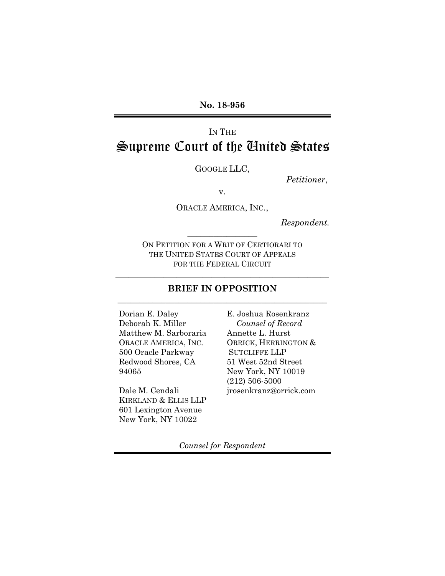# IN THE Supreme Court of the United States

GOOGLE LLC,

*Petitioner*,

v.

ORACLE AMERICA, INC.,

*Respondent.*

ON PETITION FOR A WRIT OF CERTIORARI TO THE UNITED STATES COURT OF APPEALS FOR THE FEDERAL CIRCUIT

 $\frac{1}{2}$  ,  $\frac{1}{2}$  ,  $\frac{1}{2}$  ,  $\frac{1}{2}$  ,  $\frac{1}{2}$  ,  $\frac{1}{2}$  ,  $\frac{1}{2}$  ,  $\frac{1}{2}$  ,  $\frac{1}{2}$ 

## **BRIEF IN OPPOSITION** \_\_\_\_\_\_\_\_\_\_\_\_\_\_\_\_\_\_\_\_\_\_\_\_\_\_\_\_\_\_\_\_\_\_\_\_\_\_\_\_\_\_\_\_\_\_\_\_

\_\_\_\_\_\_\_\_\_\_\_\_\_\_\_\_\_\_\_\_\_\_\_\_\_\_\_\_\_\_\_\_\_\_\_\_\_\_\_\_\_\_\_\_\_\_\_\_\_

Dorian E. Daley Deborah K. Miller Matthew M. Sarboraria ORACLE AMERICA, INC. 500 Oracle Parkway Redwood Shores, CA 94065

Dale M. Cendali KIRKLAND & ELLIS LLP 601 Lexington Avenue New York, NY 10022

E. Joshua Rosenkranz *Counsel of Record* Annette L. Hurst ORRICK, HERRINGTON & SUTCLIFFE LLP 51 West 52nd Street New York, NY 10019 (212) 506-5000 jrosenkranz@orrick.com

*Counsel for Respondent*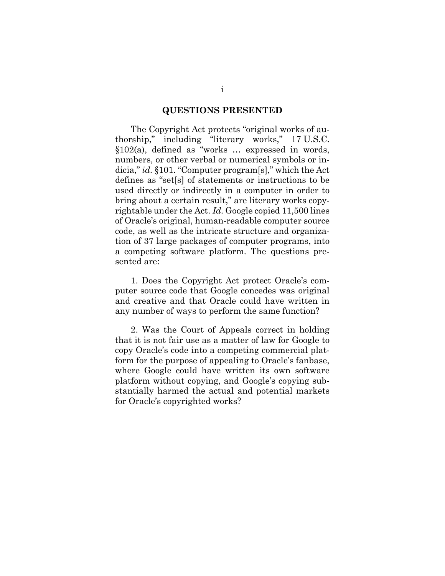#### **QUESTIONS PRESENTED**

<span id="page-1-0"></span>The Copyright Act protects "original works of authorship," including "literary works," 17 U.S.C. §102(a), defined as "works … expressed in words, numbers, or other verbal or numerical symbols or indicia," *id.* §101. "Computer program[s]," which the Act defines as "set[s] of statements or instructions to be used directly or indirectly in a computer in order to bring about a certain result," are literary works copyrightable under the Act. *Id.* Google copied 11,500 lines of Oracle's original, human-readable computer source code, as well as the intricate structure and organization of 37 large packages of computer programs, into a competing software platform. The questions presented are:

1. Does the Copyright Act protect Oracle's computer source code that Google concedes was original and creative and that Oracle could have written in any number of ways to perform the same function?

2. Was the Court of Appeals correct in holding that it is not fair use as a matter of law for Google to copy Oracle's code into a competing commercial platform for the purpose of appealing to Oracle's fanbase, where Google could have written its own software platform without copying, and Google's copying substantially harmed the actual and potential markets for Oracle's copyrighted works?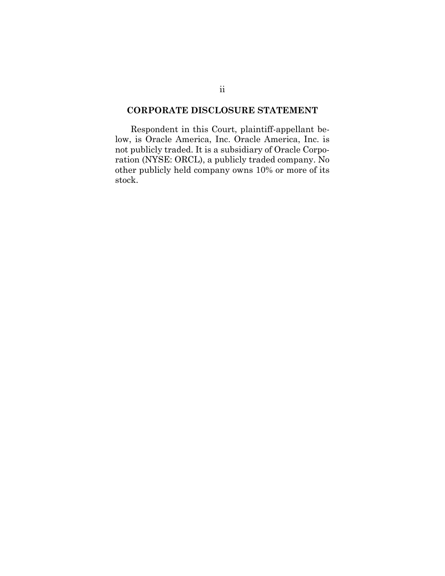### <span id="page-2-0"></span>**CORPORATE DISCLOSURE STATEMENT**

Respondent in this Court, plaintiff-appellant below, is Oracle America, Inc. Oracle America, Inc. is not publicly traded. It is a subsidiary of Oracle Corporation (NYSE: ORCL), a publicly traded company. No other publicly held company owns 10% or more of its stock.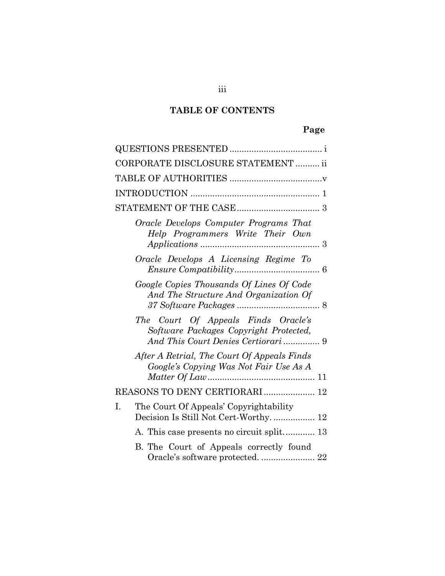# **TABLE OF CONTENTS**

# **Page**

| CORPORATE DISCLOSURE STATEMENT  ii                                                                                  |
|---------------------------------------------------------------------------------------------------------------------|
|                                                                                                                     |
|                                                                                                                     |
|                                                                                                                     |
| Oracle Develops Computer Programs That<br>Help Programmers Write Their Own                                          |
| Oracle Develops A Licensing Regime To                                                                               |
| Google Copies Thousands Of Lines Of Code<br>And The Structure And Organization Of                                   |
| The Court Of Appeals Finds Oracle's<br>Software Packages Copyright Protected,<br>And This Court Denies Certiorari 9 |
| After A Retrial, The Court Of Appeals Finds<br>Google's Copying Was Not Fair Use As A                               |
| REASONS TO DENY CERTIORARI  12                                                                                      |
| The Court Of Appeals' Copyrightability<br>I.<br>Decision Is Still Not Cert-Worthy.  12                              |
| A. This case presents no circuit split 13                                                                           |
| B. The Court of Appeals correctly found<br>Oracle's software protected.  22                                         |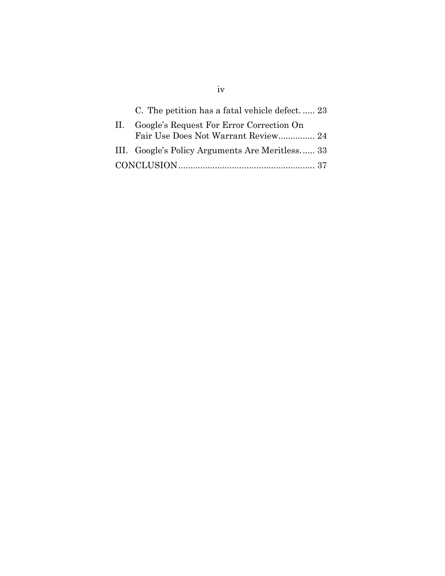| C. The petition has a fatal vehicle defect 23   |  |
|-------------------------------------------------|--|
| Google's Request For Error Correction On        |  |
| Fair Use Does Not Warrant Review 24             |  |
| III. Google's Policy Arguments Are Meritless 33 |  |
|                                                 |  |

iv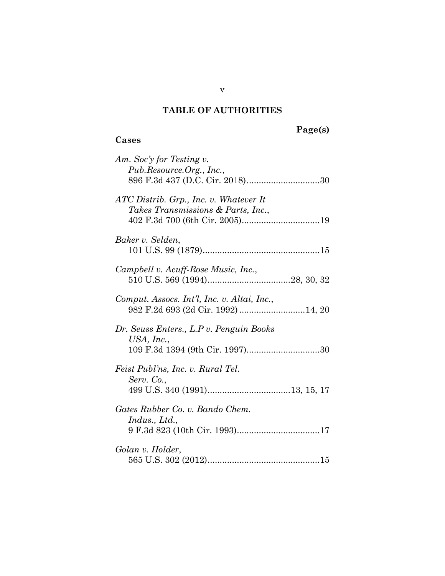## **TABLE OF AUTHORITIES**

# <span id="page-5-0"></span>**Page(s)**

## **Cases**

| Am. Soc'y for Testing v.<br>Pub.Resource.Org., Inc.,                              |
|-----------------------------------------------------------------------------------|
| ATC Distrib. Grp., Inc. v. Whatever It<br>Takes Transmissions & Parts, Inc.,      |
| Baker v. Selden,                                                                  |
| Campbell v. Acuff-Rose Music, Inc.,                                               |
| Comput. Assocs. Int'l, Inc. v. Altai, Inc.,<br>982 F.2d 693 (2d Cir. 1992) 14, 20 |
| Dr. Seuss Enters., L.P v. Penguin Books<br>USA, Inc.,                             |
| Feist Publ'ns, Inc. v. Rural Tel.<br>Serv. Co.,                                   |
| Gates Rubber Co. v. Bando Chem.<br>Indus., Ltd.,                                  |
| Golan v. Holder,                                                                  |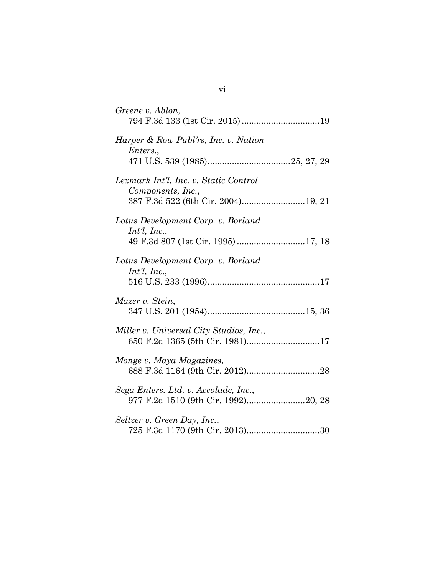| Greene v. Ablon,                                                                                 |
|--------------------------------------------------------------------------------------------------|
| Harper & Row Publ'rs, Inc. v. Nation<br>Enters.,                                                 |
| Lexmark Int'l, Inc. v. Static Control<br>Components, Inc.,<br>387 F.3d 522 (6th Cir. 2004)19, 21 |
| Lotus Development Corp. v. Borland<br>$Int'l$ , Inc.,                                            |
| Lotus Development Corp. v. Borland<br>$Int'l$ , Inc.,                                            |
| Mazer v. Stein,                                                                                  |
| Miller v. Universal City Studios, Inc.,                                                          |
| Monge v. Maya Magazines,                                                                         |
| Sega Enters. Ltd. v. Accolade, Inc.,<br>977 F.2d 1510 (9th Cir. 1992)20, 28                      |
| Seltzer v. Green Day, Inc.,<br>725 F.3d 1170 (9th Cir. 2013)30                                   |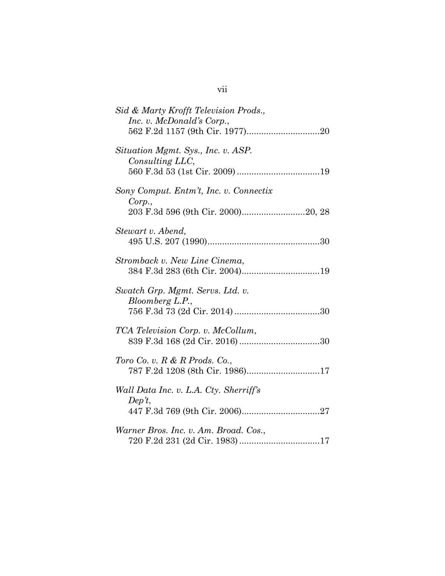| Sid & Marty Krofft Television Prods.,<br>Inc. v. McDonald's Corp.,  |
|---------------------------------------------------------------------|
| Situation Mgmt. Sys., Inc. v. ASP.<br>Consulting LLC,               |
| Sony Comput. Entm't, Inc. v. Connectix<br>Corp.,                    |
| Stewart v. Abend,                                                   |
| Stromback v. New Line Cinema,                                       |
| Swatch Grp. Mgmt. Servs. Ltd. v.<br>Bloomberg L.P.,                 |
| TCA Television Corp. v. McCollum,                                   |
| Toro Co. v. $R \& R$ Prods. Co.,<br>787 F.2d 1208 (8th Cir. 1986)17 |
| Wall Data Inc. v. L.A. Cty. Sherriff's<br>Dep't,                    |
| Warner Bros. Inc. v. Am. Broad. Cos.,                               |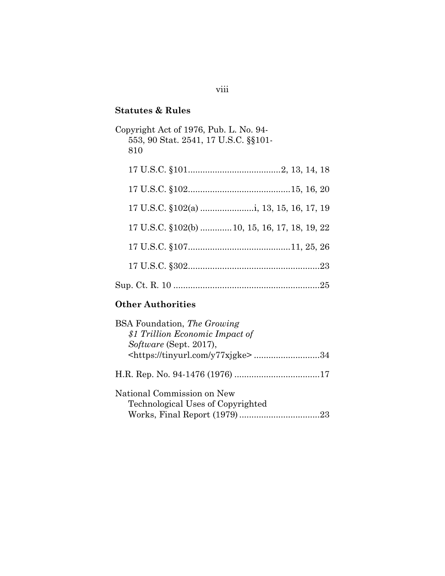# **Statutes & Rules**

| Copyright Act of 1976, Pub. L. No. 94-<br>553, 90 Stat. 2541, 17 U.S.C. §§101-<br>810 |
|---------------------------------------------------------------------------------------|
|                                                                                       |
|                                                                                       |
|                                                                                       |
| 17 U.S.C. §102(b)  10, 15, 16, 17, 18, 19, 22                                         |
|                                                                                       |
|                                                                                       |
|                                                                                       |

# **Other Authorities**

| <b>BSA</b> Foundation, <i>The Growing</i>      |
|------------------------------------------------|
| \$1 Trillion Economic Impact of                |
| Software (Sept. 2017),                         |
| <https: tinyurl.com="" y77xjgke="">34</https:> |
|                                                |
| National Commission on New                     |
| Technological Uses of Copyrighted              |
|                                                |

## viii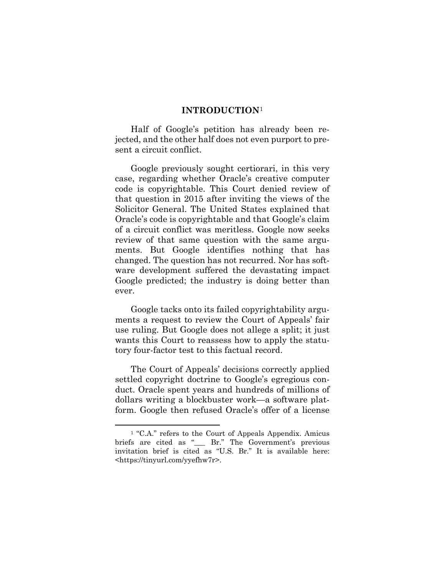#### **INTRODUCTION**[1](#page-9-1)

<span id="page-9-0"></span>Half of Google's petition has already been rejected, and the other half does not even purport to present a circuit conflict.

Google previously sought certiorari, in this very case, regarding whether Oracle's creative computer code is copyrightable. This Court denied review of that question in 2015 after inviting the views of the Solicitor General. The United States explained that Oracle's code is copyrightable and that Google's claim of a circuit conflict was meritless. Google now seeks review of that same question with the same arguments. But Google identifies nothing that has changed. The question has not recurred. Nor has software development suffered the devastating impact Google predicted; the industry is doing better than ever.

Google tacks onto its failed copyrightability arguments a request to review the Court of Appeals' fair use ruling. But Google does not allege a split; it just wants this Court to reassess how to apply the statutory four-factor test to this factual record.

The Court of Appeals' decisions correctly applied settled copyright doctrine to Google's egregious conduct. Oracle spent years and hundreds of millions of dollars writing a blockbuster work—a software platform. Google then refused Oracle's offer of a license

<span id="page-9-1"></span> <sup>1</sup> "C.A." refers to the Court of Appeals Appendix. Amicus briefs are cited as "\_\_\_ Br." The Government's previous invitation brief is cited as "U.S. Br." It is available here: <https://tinyurl.com/yyefhw7r>.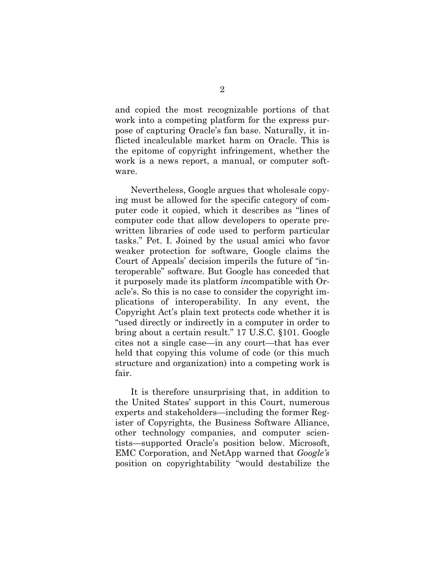and copied the most recognizable portions of that work into a competing platform for the express purpose of capturing Oracle's fan base. Naturally, it inflicted incalculable market harm on Oracle. This is the epitome of copyright infringement, whether the work is a news report, a manual, or computer software.

Nevertheless, Google argues that wholesale copying must be allowed for the specific category of computer code it copied, which it describes as "lines of computer code that allow developers to operate prewritten libraries of code used to perform particular tasks." Pet. I. Joined by the usual amici who favor weaker protection for software, Google claims the Court of Appeals' decision imperils the future of "interoperable" software. But Google has conceded that it purposely made its platform *in*compatible with Oracle's. So this is no case to consider the copyright implications of interoperability. In any event, the Copyright Act's plain text protects code whether it is "used directly or indirectly in a computer in order to bring about a certain result." 17 U.S.C. §101. Google cites not a single case—in any court—that has ever held that copying this volume of code (or this much structure and organization) into a competing work is fair.

It is therefore unsurprising that, in addition to the United States' support in this Court, numerous experts and stakeholders—including the former Register of Copyrights, the Business Software Alliance, other technology companies, and computer scientists—supported Oracle's position below. Microsoft, EMC Corporation, and NetApp warned that *Google's* position on copyrightability "would destabilize the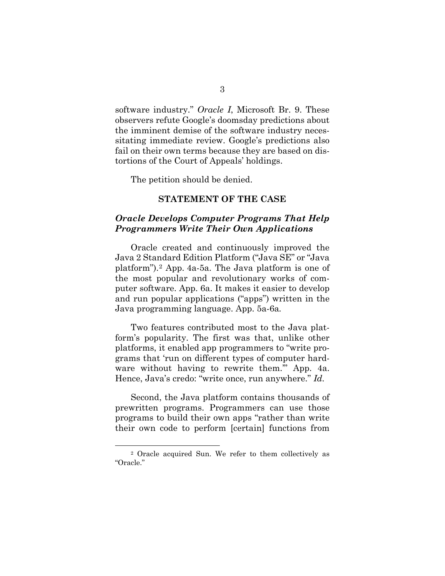software industry." *Oracle I*, Microsoft Br. 9. These observers refute Google's doomsday predictions about the imminent demise of the software industry necessitating immediate review. Google's predictions also fail on their own terms because they are based on distortions of the Court of Appeals' holdings.

The petition should be denied.

#### **STATEMENT OF THE CASE**

#### <span id="page-11-1"></span><span id="page-11-0"></span>*Oracle Develops Computer Programs That Help Programmers Write Their Own Applications*

Oracle created and continuously improved the Java 2 Standard Edition Platform ("Java SE" or "Java platform").[2](#page-11-2) App. 4a-5a. The Java platform is one of the most popular and revolutionary works of computer software. App. 6a. It makes it easier to develop and run popular applications ("apps") written in the Java programming language. App. 5a-6a*.* 

Two features contributed most to the Java platform's popularity. The first was that, unlike other platforms, it enabled app programmers to "write programs that 'run on different types of computer hardware without having to rewrite them.'" App. 4a. Hence, Java's credo: "write once, run anywhere." *Id.* 

Second, the Java platform contains thousands of prewritten programs. Programmers can use those programs to build their own apps "rather than write their own code to perform [certain] functions from

<span id="page-11-2"></span> <sup>2</sup> Oracle acquired Sun. We refer to them collectively as "Oracle."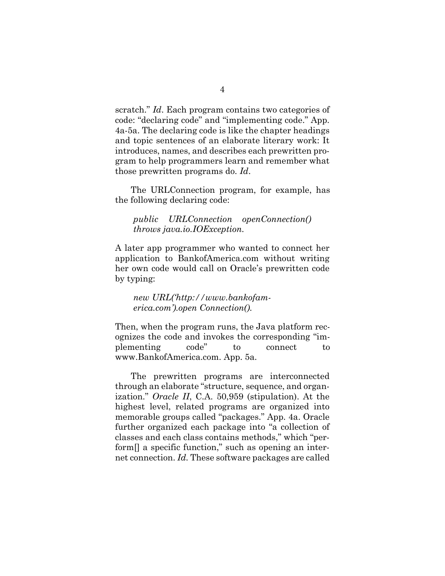scratch." *Id*. Each program contains two categories of code: "declaring code" and "implementing code." App. 4a-5a. The declaring code is like the chapter headings and topic sentences of an elaborate literary work: It introduces, names, and describes each prewritten program to help programmers learn and remember what those prewritten programs do. *Id*.

The URLConnection program, for example, has the following declaring code:

*public URLConnection openConnection() throws java.io.IOException.*

A later app programmer who wanted to connect her application to BankofAmerica.com without writing her own code would call on Oracle's prewritten code by typing:

*new URL('http://www.bankofamerica.com').open Connection().*

Then, when the program runs, the Java platform recognizes the code and invokes the corresponding "implementing code" to connect to www.BankofAmerica.com. App. 5a.

The prewritten programs are interconnected through an elaborate "structure, sequence, and organization." *Oracle II*, C.A. 50,959 (stipulation). At the highest level, related programs are organized into memorable groups called "packages." App. 4a. Oracle further organized each package into "a collection of classes and each class contains methods," which "perform<sup>[]</sup> a specific function," such as opening an internet connection. *Id.* These software packages are called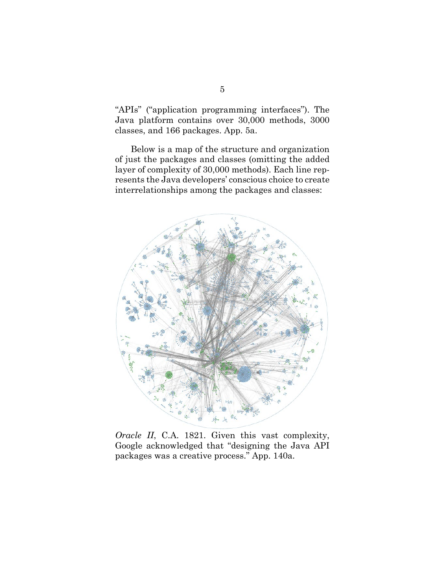"APIs" ("application programming interfaces"). The Java platform contains over 30,000 methods, 3000 classes, and 166 packages. App. 5a.

Below is a map of the structure and organization of just the packages and classes (omitting the added layer of complexity of 30,000 methods). Each line represents the Java developers' conscious choice to create interrelationships among the packages and classes:



*Oracle II*, C.A. 1821. Given this vast complexity, Google acknowledged that "designing the Java API packages was a creative process." App. 140a.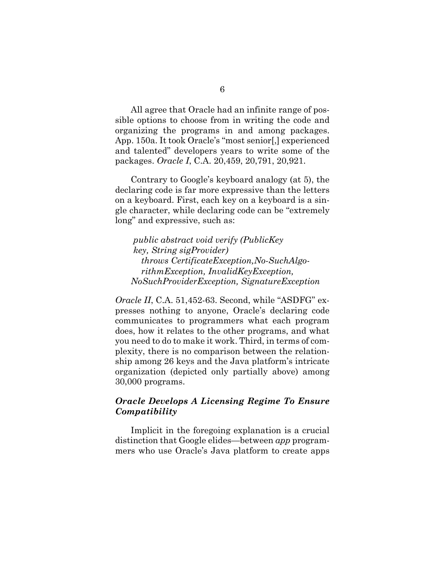All agree that Oracle had an infinite range of possible options to choose from in writing the code and organizing the programs in and among packages. App. 150a. It took Oracle's "most senior[,] experienced and talented" developers years to write some of the packages. *Oracle I*, C.A. 20,459, 20,791, 20,921.

Contrary to Google's keyboard analogy (at 5), the declaring code is far more expressive than the letters on a keyboard. First, each key on a keyboard is a single character, while declaring code can be "extremely long" and expressive, such as:

*public abstract void verify (PublicKey key, String sigProvider) throws CertificateException,No-SuchAlgorithmException, InvalidKeyException, NoSuchProviderException, SignatureException*

*Oracle II*, C.A. 51,452-63. Second, while "ASDFG" expresses nothing to anyone, Oracle's declaring code communicates to programmers what each program does, how it relates to the other programs, and what you need to do to make it work. Third, in terms of complexity, there is no comparison between the relationship among 26 keys and the Java platform's intricate organization (depicted only partially above) among 30,000 programs.

## <span id="page-14-0"></span>*Oracle Develops A Licensing Regime To Ensure Compatibility*

Implicit in the foregoing explanation is a crucial distinction that Google elides—between *app* programmers who use Oracle's Java platform to create apps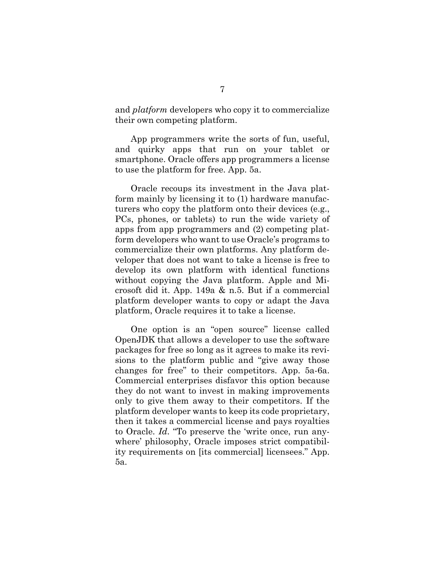and *platform* developers who copy it to commercialize their own competing platform.

App programmers write the sorts of fun, useful, and quirky apps that run on your tablet or smartphone. Oracle offers app programmers a license to use the platform for free. App. 5a.

Oracle recoups its investment in the Java platform mainly by licensing it to (1) hardware manufacturers who copy the platform onto their devices (e.g., PCs, phones, or tablets) to run the wide variety of apps from app programmers and (2) competing platform developers who want to use Oracle's programs to commercialize their own platforms. Any platform developer that does not want to take a license is free to develop its own platform with identical functions without copying the Java platform. Apple and Microsoft did it. App. 149a & n.5. But if a commercial platform developer wants to copy or adapt the Java platform, Oracle requires it to take a license.

One option is an "open source" license called OpenJDK that allows a developer to use the software packages for free so long as it agrees to make its revisions to the platform public and "give away those changes for free" to their competitors. App. 5a-6a. Commercial enterprises disfavor this option because they do not want to invest in making improvements only to give them away to their competitors. If the platform developer wants to keep its code proprietary, then it takes a commercial license and pays royalties to Oracle. *Id*. "To preserve the 'write once, run anywhere' philosophy, Oracle imposes strict compatibility requirements on [its commercial] licensees." App. 5a.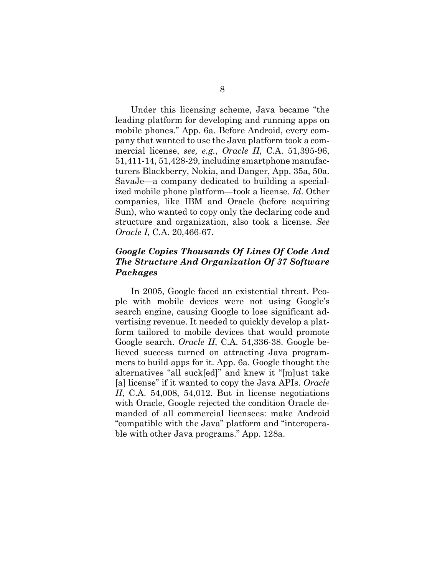Under this licensing scheme, Java became "the leading platform for developing and running apps on mobile phones." App. 6a. Before Android, every company that wanted to use the Java platform took a commercial license, *see, e.g.*, *Oracle II*, C.A. 51,395-96, 51,411-14, 51,428-29, including smartphone manufacturers Blackberry, Nokia, and Danger, App. 35a, 50a. SavaJe—a company dedicated to building a specialized mobile phone platform—took a license. *Id*. Other companies, like IBM and Oracle (before acquiring Sun), who wanted to copy only the declaring code and structure and organization, also took a license. *See Oracle I*, C.A. 20,466-67.

## <span id="page-16-0"></span>*Google Copies Thousands Of Lines Of Code And The Structure And Organization Of 37 Software Packages*

In 2005, Google faced an existential threat. People with mobile devices were not using Google's search engine, causing Google to lose significant advertising revenue. It needed to quickly develop a platform tailored to mobile devices that would promote Google search. *Oracle II*, C.A. 54,336-38. Google believed success turned on attracting Java programmers to build apps for it. App. 6a. Google thought the alternatives "all suck[ed]" and knew it "[m]ust take [a] license" if it wanted to copy the Java APIs. *Oracle II*, C.A. 54,008, 54,012. But in license negotiations with Oracle, Google rejected the condition Oracle demanded of all commercial licensees: make Android "compatible with the Java" platform and "interoperable with other Java programs." App. 128a.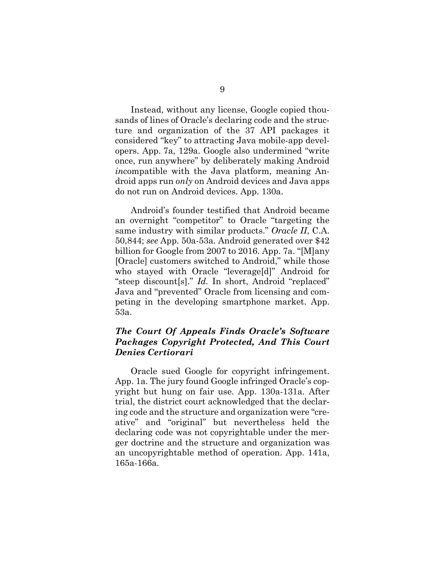Instead, without any license, Google copied thousands of lines of Oracle's declaring code and the structure and organization of the 37 API packages it considered "key" to attracting Java mobile-app developers. App. 7a, 129a. Google also undermined "write once, run anywhere" by deliberately making Android *in*compatible with the Java platform, meaning Android apps run *only* on Android devices and Java apps do not run on Android devices. App. 130a.

Android's founder testified that Android became an overnight "competitor" to Oracle "targeting the same industry with similar products." *Oracle II*, C.A. 50,844; *see* App. 50a-53a. Android generated over \$42 billion for Google from 2007 to 2016. App. 7a. "[M]any [Oracle] customers switched to Android," while those who stayed with Oracle "leverage[d]" Android for "steep discount[s]." *Id.* In short, Android "replaced" Java and "prevented" Oracle from licensing and competing in the developing smartphone market. App. 53a.

## <span id="page-17-0"></span>*The Court Of Appeals Finds Oracle's Software Packages Copyright Protected, And This Court Denies Certiorari*

Oracle sued Google for copyright infringement. App. 1a. The jury found Google infringed Oracle's copyright but hung on fair use. App. 130a-131a. After trial, the district court acknowledged that the declaring code and the structure and organization were "creative" and "original" but nevertheless held the declaring code was not copyrightable under the merger doctrine and the structure and organization was an uncopyrightable method of operation. App. 141a, 165a-166a.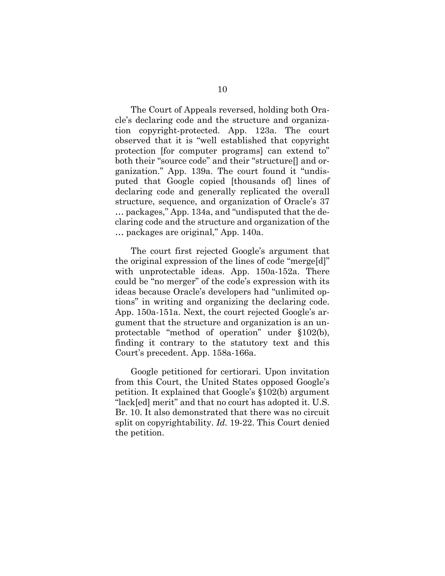The Court of Appeals reversed, holding both Oracle's declaring code and the structure and organization copyright-protected. App. 123a. The court observed that it is "well established that copyright protection [for computer programs] can extend to" both their "source code" and their "structure[] and organization." App. 139a. The court found it "undisputed that Google copied [thousands of] lines of declaring code and generally replicated the overall structure, sequence, and organization of Oracle's 37 … packages," App. 134a, and "undisputed that the declaring code and the structure and organization of the … packages are original," App. 140a.

The court first rejected Google's argument that the original expression of the lines of code "merge[d]" with unprotectable ideas. App. 150a-152a. There could be "no merger" of the code's expression with its ideas because Oracle's developers had "unlimited options" in writing and organizing the declaring code. App. 150a-151a. Next, the court rejected Google's argument that the structure and organization is an unprotectable "method of operation" under §102(b), finding it contrary to the statutory text and this Court's precedent. App. 158a-166a.

Google petitioned for certiorari. Upon invitation from this Court, the United States opposed Google's petition. It explained that Google's §102(b) argument "lack[ed] merit" and that no court has adopted it. U.S. Br. 10. It also demonstrated that there was no circuit split on copyrightability. *Id.* 19-22. This Court denied the petition.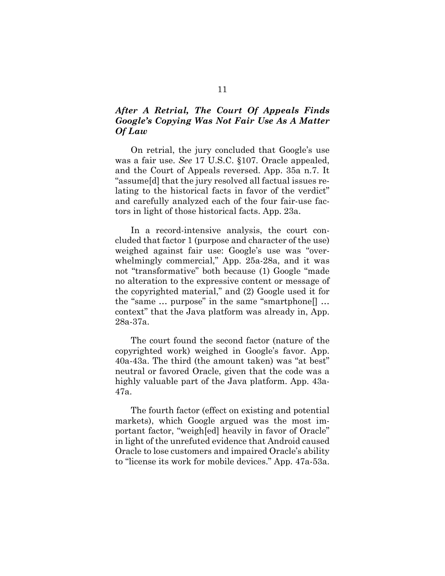## <span id="page-19-0"></span>*After A Retrial, The Court Of Appeals Finds Google's Copying Was Not Fair Use As A Matter Of Law*

On retrial, the jury concluded that Google's use was a fair use. *See* 17 U.S.C. §107. Oracle appealed, and the Court of Appeals reversed. App. 35a n.7. It "assume[d] that the jury resolved all factual issues relating to the historical facts in favor of the verdict" and carefully analyzed each of the four fair-use factors in light of those historical facts. App. 23a.

In a record-intensive analysis, the court concluded that factor 1 (purpose and character of the use) weighed against fair use: Google's use was "overwhelmingly commercial," App. 25a-28a, and it was not "transformative" both because (1) Google "made no alteration to the expressive content or message of the copyrighted material," and (2) Google used it for the "same … purpose" in the same "smartphone[] … context" that the Java platform was already in, App. 28a-37a.

The court found the second factor (nature of the copyrighted work) weighed in Google's favor. App. 40a-43a. The third (the amount taken) was "at best" neutral or favored Oracle, given that the code was a highly valuable part of the Java platform. App. 43a-47a.

The fourth factor (effect on existing and potential markets), which Google argued was the most important factor, "weigh[ed] heavily in favor of Oracle" in light of the unrefuted evidence that Android caused Oracle to lose customers and impaired Oracle's ability to "license its work for mobile devices." App. 47a-53a.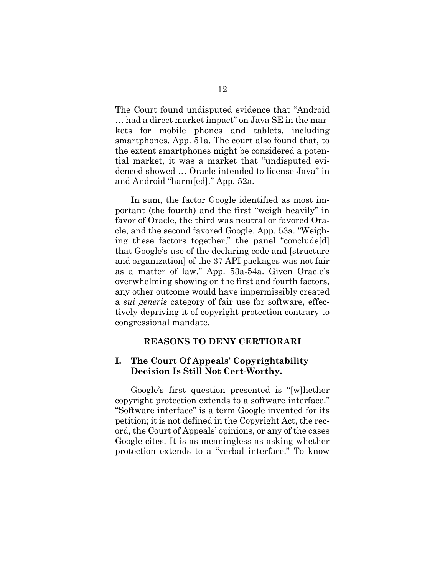The Court found undisputed evidence that "Android … had a direct market impact" on Java SE in the markets for mobile phones and tablets, including smartphones. App. 51a. The court also found that, to the extent smartphones might be considered a potential market, it was a market that "undisputed evidenced showed … Oracle intended to license Java" in and Android "harm[ed]." App. 52a.

In sum, the factor Google identified as most important (the fourth) and the first "weigh heavily" in favor of Oracle, the third was neutral or favored Oracle, and the second favored Google. App. 53a. "Weighing these factors together," the panel "conclude[d] that Google's use of the declaring code and [structure and organization] of the 37 API packages was not fair as a matter of law." App. 53a-54a. Given Oracle's overwhelming showing on the first and fourth factors, any other outcome would have impermissibly created a *sui generis* category of fair use for software, effectively depriving it of copyright protection contrary to congressional mandate.

#### **REASONS TO DENY CERTIORARI**

#### <span id="page-20-1"></span><span id="page-20-0"></span>**I. The Court Of Appeals' Copyrightability Decision Is Still Not Cert-Worthy.**

Google's first question presented is "[w]hether copyright protection extends to a software interface." "Software interface" is a term Google invented for its petition; it is not defined in the Copyright Act, the record, the Court of Appeals' opinions, or any of the cases Google cites. It is as meaningless as asking whether protection extends to a "verbal interface." To know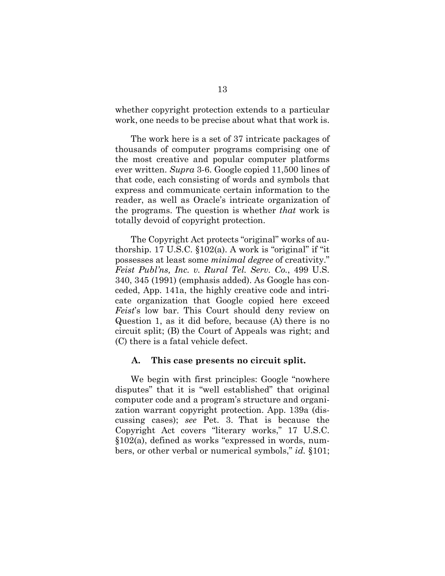whether copyright protection extends to a particular work, one needs to be precise about what that work is.

The work here is a set of 37 intricate packages of thousands of computer programs comprising one of the most creative and popular computer platforms ever written. *Supra* 3-6. Google copied 11,500 lines of that code, each consisting of words and symbols that express and communicate certain information to the reader, as well as Oracle's intricate organization of the programs. The question is whether *that* work is totally devoid of copyright protection.

The Copyright Act protects "original" works of authorship. 17 U.S.C.  $$102(a)$ . A work is "original" if "it" possesses at least some *minimal degree* of creativity." *Feist Publ'ns, Inc. v. Rural Tel. Serv. Co.*, 499 U.S. 340, 345 (1991) (emphasis added). As Google has conceded, App. 141a, the highly creative code and intricate organization that Google copied here exceed *Feist*'s low bar. This Court should deny review on Question 1, as it did before, because (A) there is no circuit split; (B) the Court of Appeals was right; and (C) there is a fatal vehicle defect.

#### <span id="page-21-0"></span>**A. This case presents no circuit split.**

We begin with first principles: Google "nowhere disputes" that it is "well established" that original computer code and a program's structure and organization warrant copyright protection. App. 139a (discussing cases); *see* Pet. 3. That is because the Copyright Act covers "literary works," 17 U.S.C. §102(a), defined as works "expressed in words, numbers, or other verbal or numerical symbols," *id.* §101;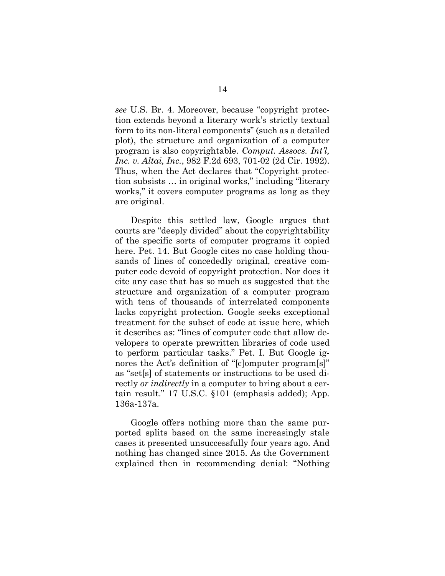*see* U.S. Br. 4. Moreover, because "copyright protection extends beyond a literary work's strictly textual form to its non-literal components" (such as a detailed plot), the structure and organization of a computer program is also copyrightable. *Comput. Assocs. Int'l, Inc. v. Altai, Inc.*, 982 F.2d 693, 701-02 (2d Cir. 1992). Thus, when the Act declares that "Copyright protection subsists … in original works," including "literary works," it covers computer programs as long as they are original.

Despite this settled law, Google argues that courts are "deeply divided" about the copyrightability of the specific sorts of computer programs it copied here. Pet. 14. But Google cites no case holding thousands of lines of concededly original, creative computer code devoid of copyright protection. Nor does it cite any case that has so much as suggested that the structure and organization of a computer program with tens of thousands of interrelated components lacks copyright protection. Google seeks exceptional treatment for the subset of code at issue here, which it describes as: "lines of computer code that allow developers to operate prewritten libraries of code used to perform particular tasks." Pet. I. But Google ignores the Act's definition of "[c]omputer program[s]" as "set[s] of statements or instructions to be used directly *or indirectly* in a computer to bring about a certain result." 17 U.S.C. §101 (emphasis added); App. 136a-137a.

Google offers nothing more than the same purported splits based on the same increasingly stale cases it presented unsuccessfully four years ago. And nothing has changed since 2015. As the Government explained then in recommending denial: "Nothing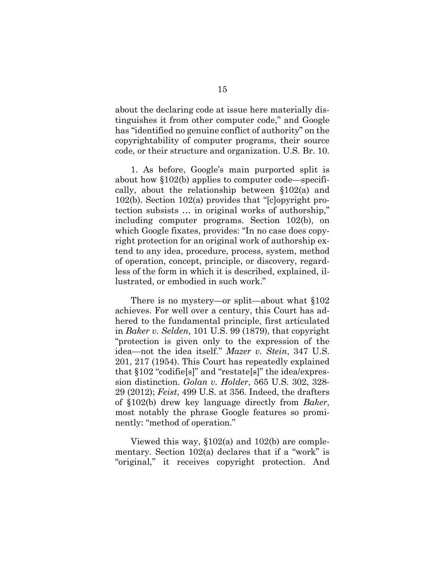about the declaring code at issue here materially distinguishes it from other computer code," and Google has "identified no genuine conflict of authority" on the copyrightability of computer programs, their source code, or their structure and organization. U.S. Br. 10.

1. As before, Google's main purported split is about how §102(b) applies to computer code—specifically, about the relationship between §102(a) and 102(b). Section 102(a) provides that "[c]opyright protection subsists … in original works of authorship," including computer programs. Section 102(b), on which Google fixates, provides: "In no case does copyright protection for an original work of authorship extend to any idea, procedure, process, system, method of operation, concept, principle, or discovery, regardless of the form in which it is described, explained, illustrated, or embodied in such work."

There is no mystery—or split—about what §102 achieves. For well over a century, this Court has adhered to the fundamental principle, first articulated in *Baker v. Selden*, 101 U.S. 99 (1879), that copyright "protection is given only to the expression of the idea—not the idea itself." *Mazer v. Stein*, 347 U.S. 201, 217 (1954). This Court has repeatedly explained that §102 "codifie[s]" and "restate[s]" the idea/expression distinction. *Golan v. Holder*, 565 U.S. 302, 328- 29 (2012); *Feist*, 499 U.S. at 356. Indeed, the drafters of §102(b) drew key language directly from *Baker*, most notably the phrase Google features so prominently: "method of operation."

Viewed this way, §102(a) and 102(b) are complementary. Section 102(a) declares that if a "work" is "original," it receives copyright protection. And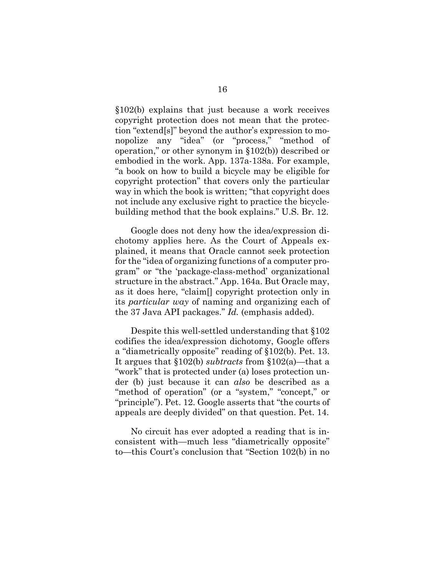§102(b) explains that just because a work receives copyright protection does not mean that the protection "extend[s]" beyond the author's expression to monopolize any "idea" (or "process," "method of operation," or other synonym in §102(b)) described or embodied in the work. App. 137a-138a. For example, "a book on how to build a bicycle may be eligible for copyright protection" that covers only the particular way in which the book is written; "that copyright does not include any exclusive right to practice the bicyclebuilding method that the book explains." U.S. Br. 12.

Google does not deny how the idea/expression dichotomy applies here. As the Court of Appeals explained, it means that Oracle cannot seek protection for the "idea of organizing functions of a computer program" or "the 'package-class-method' organizational structure in the abstract." App. 164a. But Oracle may, as it does here, "claim[] copyright protection only in its *particular way* of naming and organizing each of the 37 Java API packages." *Id.* (emphasis added).

Despite this well-settled understanding that §102 codifies the idea/expression dichotomy, Google offers a "diametrically opposite" reading of §102(b). Pet. 13. It argues that §102(b) *subtracts* from §102(a)—that a "work" that is protected under (a) loses protection under (b) just because it can *also* be described as a "method of operation" (or a "system," "concept," or "principle"). Pet. 12. Google asserts that "the courts of appeals are deeply divided" on that question. Pet. 14.

No circuit has ever adopted a reading that is inconsistent with—much less "diametrically opposite" to—this Court's conclusion that "Section 102(b) in no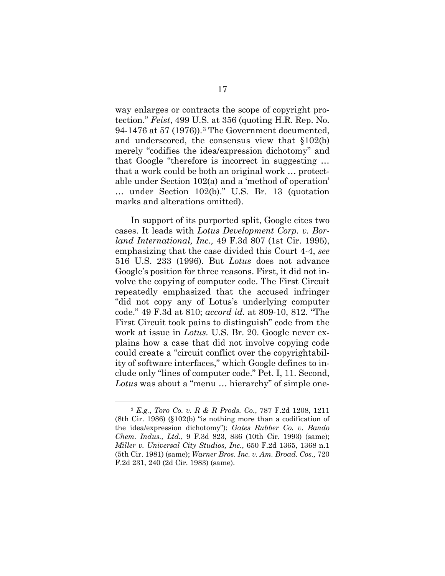way enlarges or contracts the scope of copyright protection." *Feist*, 499 U.S. at 356 (quoting H.R. Rep. No. 94-1476 at 57 (1976)).[3](#page-25-0) The Government documented, and underscored, the consensus view that §102(b) merely "codifies the idea/expression dichotomy" and that Google "therefore is incorrect in suggesting … that a work could be both an original work … protectable under Section 102(a) and a 'method of operation' … under Section 102(b)." U.S. Br. 13 (quotation marks and alterations omitted).

In support of its purported split, Google cites two cases. It leads with *Lotus Development Corp. v. Borland International, Inc.,* 49 F.3d 807 (1st Cir. 1995), emphasizing that the case divided this Court 4-4, *see*  516 U.S. 233 (1996). But *Lotus* does not advance Google's position for three reasons. First, it did not involve the copying of computer code. The First Circuit repeatedly emphasized that the accused infringer "did not copy any of Lotus's underlying computer code." 49 F.3d at 810; *accord id.* at 809-10, 812. "The First Circuit took pains to distinguish" code from the work at issue in *Lotus.* U.S. Br. 20. Google never explains how a case that did not involve copying code could create a "circuit conflict over the copyrightability of software interfaces," which Google defines to include only "lines of computer code." Pet. I, 11. Second, *Lotus* was about a "menu … hierarchy" of simple one-

<span id="page-25-0"></span> <sup>3</sup> *E.g.*, *Toro Co. v. R & R Prods. Co.*, 787 F.2d 1208, 1211 (8th Cir. 1986) (§102(b) "is nothing more than a codification of the idea/expression dichotomy"); *Gates Rubber Co. v. Bando Chem. Indus., Ltd.*, 9 F.3d 823, 836 (10th Cir. 1993) (same); *Miller v. Universal City Studios, Inc.*, 650 F.2d 1365, 1368 n.1 (5th Cir. 1981) (same); *Warner Bros. Inc. v. Am. Broad. Cos.,* 720 F.2d 231, 240 (2d Cir. 1983) (same).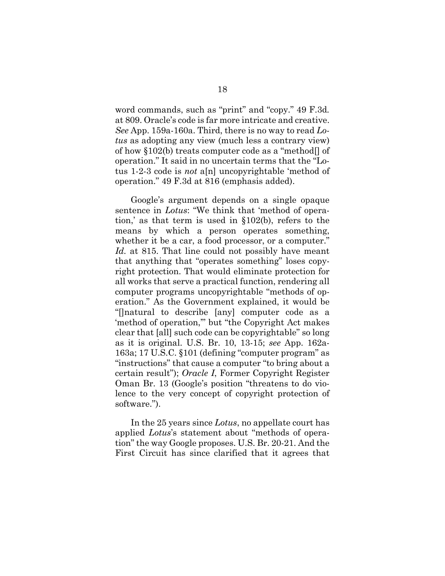word commands, such as "print" and "copy." 49 F.3d*.* at 809. Oracle's code is far more intricate and creative. *See* App. 159a-160a. Third, there is no way to read *Lotus* as adopting any view (much less a contrary view) of how §102(b) treats computer code as a "method[] of operation." It said in no uncertain terms that the "Lotus 1-2-3 code is *not* a[n] uncopyrightable 'method of operation." 49 F.3d at 816 (emphasis added).

Google's argument depends on a single opaque sentence in *Lotus*: "We think that 'method of operation,' as that term is used in §102(b), refers to the means by which a person operates something, whether it be a car, a food processor, or a computer." Id. at 815. That line could not possibly have meant that anything that "operates something" loses copyright protection. That would eliminate protection for all works that serve a practical function, rendering all computer programs uncopyrightable "methods of operation." As the Government explained, it would be "[]natural to describe [any] computer code as a 'method of operation,'" but "the Copyright Act makes clear that [all] such code can be copyrightable" so long as it is original. U.S. Br. 10, 13-15; *see* App. 162a-163a; 17 U.S.C. §101 (defining "computer program" as "instructions" that cause a computer "to bring about a certain result"); *Oracle I*, Former Copyright Register Oman Br. 13 (Google's position "threatens to do violence to the very concept of copyright protection of software.").

In the 25 years since *Lotus*, no appellate court has applied *Lotus*'s statement about "methods of operation" the way Google proposes. U.S. Br. 20-21. And the First Circuit has since clarified that it agrees that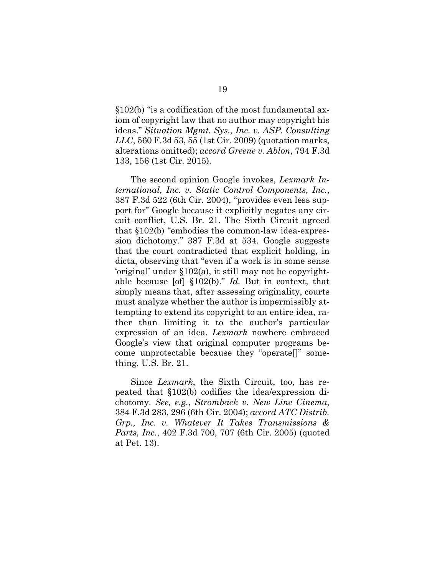§102(b) "is a codification of the most fundamental axiom of copyright law that no author may copyright his ideas." *Situation Mgmt. Sys., Inc. v. ASP. Consulting LLC*, 560 F.3d 53, 55 (1st Cir. 2009) (quotation marks, alterations omitted); *accord Greene v. Ablon*, 794 F.3d 133, 156 (1st Cir. 2015).

The second opinion Google invokes, *Lexmark International, Inc. v. Static Control Components, Inc.*, 387 F.3d 522 (6th Cir. 2004), "provides even less support for" Google because it explicitly negates any circuit conflict, U.S. Br. 21. The Sixth Circuit agreed that §102(b) "embodies the common-law idea-expression dichotomy." 387 F.3d at 534. Google suggests that the court contradicted that explicit holding, in dicta, observing that "even if a work is in some sense 'original' under §102(a), it still may not be copyrightable because [of] §102(b)." *Id.* But in context, that simply means that, after assessing originality, courts must analyze whether the author is impermissibly attempting to extend its copyright to an entire idea, rather than limiting it to the author's particular expression of an idea. *Lexmark* nowhere embraced Google's view that original computer programs become unprotectable because they "operate[]" something. U.S. Br. 21.

Since *Lexmark*, the Sixth Circuit, too, has repeated that §102(b) codifies the idea/expression dichotomy. *See, e.g.*, *Stromback v. New Line Cinema*, 384 F.3d 283, 296 (6th Cir. 2004); *accord ATC Distrib. Grp., Inc. v. Whatever It Takes Transmissions & Parts, Inc.*, 402 F.3d 700, 707 (6th Cir. 2005) (quoted at Pet. 13).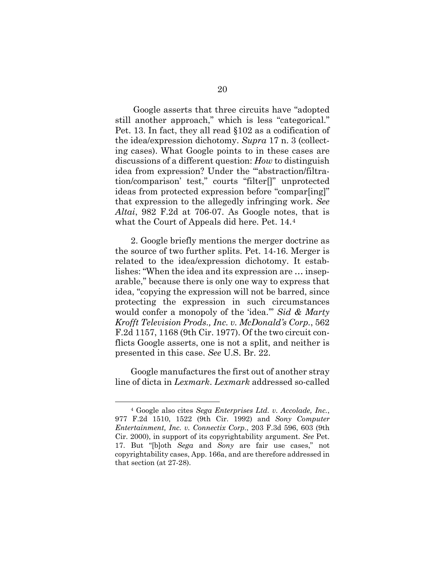Google asserts that three circuits have "adopted still another approach," which is less "categorical." Pet. 13. In fact, they all read §102 as a codification of the idea/expression dichotomy. *Supra* 17 n. 3 (collecting cases). What Google points to in these cases are discussions of a different question: *How* to distinguish idea from expression? Under the "'abstraction/filtration/comparison' test," courts "filter[]" unprotected ideas from protected expression before "compar[ing]" that expression to the allegedly infringing work. *See Altai*, 982 F.2d at 706-07. As Google notes, that is what the Court of Appeals did here. Pet. 14.[4](#page-28-0)

2. Google briefly mentions the merger doctrine as the source of two further splits. Pet. 14-16. Merger is related to the idea/expression dichotomy. It establishes: "When the idea and its expression are … inseparable," because there is only one way to express that idea, "copying the expression will not be barred, since protecting the expression in such circumstances would confer a monopoly of the 'idea.'" *Sid & Marty Krofft Television Prods., Inc. v. McDonald's Corp.*, 562 F.2d 1157, 1168 (9th Cir. 1977). Of the two circuit conflicts Google asserts, one is not a split, and neither is presented in this case. *See* U.S. Br. 22.

Google manufactures the first out of another stray line of dicta in *Lexmark*. *Lexmark* addressed so-called

<span id="page-28-0"></span> <sup>4</sup> Google also cites *Sega Enterprises Ltd. v. Accolade, Inc.*, 977 F.2d 1510, 1522 (9th Cir. 1992) and *Sony Computer Entertainment, Inc. v. Connectix Corp.*, 203 F.3d 596, 603 (9th Cir. 2000), in support of its copyrightability argument. *See* Pet. 17. But "[b]oth *Sega* and *Sony* are fair use cases," not copyrightability cases, App. 166a, and are therefore addressed in that section (at 27-28).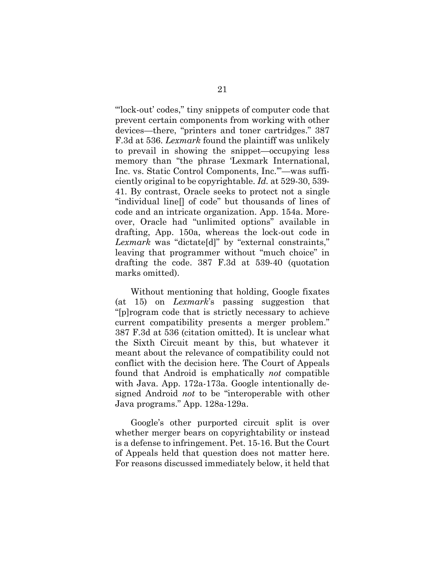"'lock-out' codes," tiny snippets of computer code that prevent certain components from working with other devices—there, "printers and toner cartridges." 387 F.3d at 536. *Lexmark* found the plaintiff was unlikely to prevail in showing the snippet—occupying less memory than "the phrase 'Lexmark International, Inc. vs. Static Control Components, Inc.'"—was sufficiently original to be copyrightable. *Id.* at 529-30, 539- 41. By contrast, Oracle seeks to protect not a single "individual line[] of code" but thousands of lines of code and an intricate organization. App. 154a. Moreover, Oracle had "unlimited options" available in drafting, App. 150a, whereas the lock-out code in *Lexmark* was "dictate[d]" by "external constraints," leaving that programmer without "much choice" in drafting the code. 387 F.3d at 539-40 (quotation marks omitted).

Without mentioning that holding, Google fixates (at 15) on *Lexmark*'s passing suggestion that "[p]rogram code that is strictly necessary to achieve current compatibility presents a merger problem." 387 F.3d at 536 (citation omitted). It is unclear what the Sixth Circuit meant by this, but whatever it meant about the relevance of compatibility could not conflict with the decision here. The Court of Appeals found that Android is emphatically *not* compatible with Java. App. 172a-173a. Google intentionally designed Android *not* to be "interoperable with other Java programs." App. 128a-129a.

Google's other purported circuit split is over whether merger bears on copyrightability or instead is a defense to infringement. Pet. 15-16. But the Court of Appeals held that question does not matter here. For reasons discussed immediately below, it held that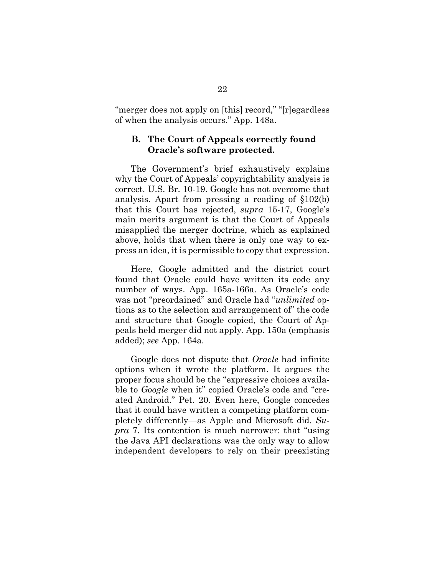"merger does not apply on [this] record," "[r]egardless of when the analysis occurs." App. 148a.

#### <span id="page-30-0"></span>**B. The Court of Appeals correctly found Oracle's software protected.**

The Government's brief exhaustively explains why the Court of Appeals' copyrightability analysis is correct. U.S. Br. 10-19. Google has not overcome that analysis. Apart from pressing a reading of §102(b) that this Court has rejected, *supra* 15-17, Google's main merits argument is that the Court of Appeals misapplied the merger doctrine, which as explained above, holds that when there is only one way to express an idea, it is permissible to copy that expression.

Here, Google admitted and the district court found that Oracle could have written its code any number of ways. App. 165a-166a. As Oracle's code was not "preordained" and Oracle had "*unlimited* options as to the selection and arrangement of" the code and structure that Google copied, the Court of Appeals held merger did not apply. App. 150a (emphasis added); *see* App. 164a.

Google does not dispute that *Oracle* had infinite options when it wrote the platform. It argues the proper focus should be the "expressive choices available to *Google* when it" copied Oracle's code and "created Android." Pet. 20. Even here, Google concedes that it could have written a competing platform completely differently—as Apple and Microsoft did. *Supra* 7. Its contention is much narrower: that "using the Java API declarations was the only way to allow independent developers to rely on their preexisting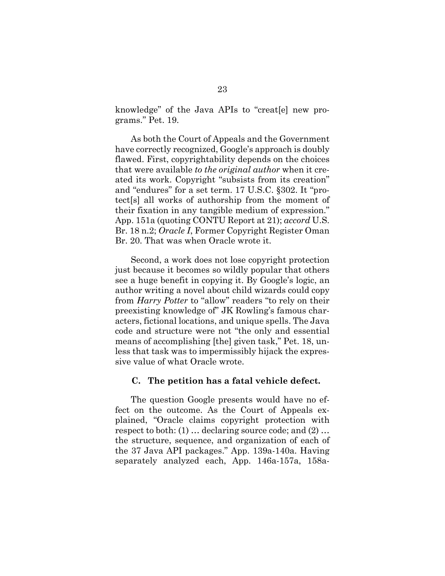knowledge" of the Java APIs to "creat[e] new programs." Pet. 19.

As both the Court of Appeals and the Government have correctly recognized, Google's approach is doubly flawed. First, copyrightability depends on the choices that were available *to the original author* when it created its work. Copyright "subsists from its creation" and "endures" for a set term. 17 U.S.C. §302. It "protect[s] all works of authorship from the moment of their fixation in any tangible medium of expression." App. 151a (quoting CONTU Report at 21); *accord* U.S. Br. 18 n.2; *Oracle I*, Former Copyright Register Oman Br. 20. That was when Oracle wrote it.

Second, a work does not lose copyright protection just because it becomes so wildly popular that others see a huge benefit in copying it. By Google's logic, an author writing a novel about child wizards could copy from *Harry Potter* to "allow" readers "to rely on their preexisting knowledge of" JK Rowling's famous characters, fictional locations, and unique spells. The Java code and structure were not "the only and essential means of accomplishing [the] given task," Pet. 18, unless that task was to impermissibly hijack the expressive value of what Oracle wrote.

#### <span id="page-31-0"></span>**C. The petition has a fatal vehicle defect.**

The question Google presents would have no effect on the outcome. As the Court of Appeals explained, "Oracle claims copyright protection with respect to both: (1) … declaring source code; and (2) … the structure, sequence, and organization of each of the 37 Java API packages." App. 139a-140a. Having separately analyzed each, App. 146a-157a, 158a-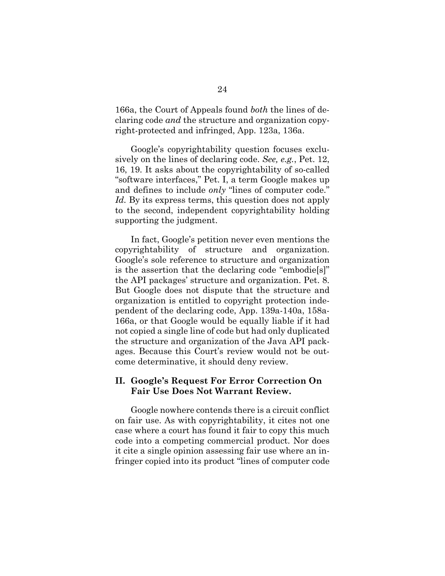166a, the Court of Appeals found *both* the lines of declaring code *and* the structure and organization copyright-protected and infringed, App. 123a, 136a.

Google's copyrightability question focuses exclusively on the lines of declaring code. *See, e.g.*, Pet. 12, 16, 19. It asks about the copyrightability of so-called "software interfaces," Pet. I, a term Google makes up and defines to include *only* "lines of computer code." *Id.* By its express terms, this question does not apply to the second, independent copyrightability holding supporting the judgment.

In fact, Google's petition never even mentions the copyrightability of structure and organization. Google's sole reference to structure and organization is the assertion that the declaring code "embodie[s]" the API packages' structure and organization. Pet. 8. But Google does not dispute that the structure and organization is entitled to copyright protection independent of the declaring code, App. 139a-140a, 158a-166a, or that Google would be equally liable if it had not copied a single line of code but had only duplicated the structure and organization of the Java API packages. Because this Court's review would not be outcome determinative, it should deny review.

#### <span id="page-32-0"></span>**II. Google's Request For Error Correction On Fair Use Does Not Warrant Review.**

Google nowhere contends there is a circuit conflict on fair use. As with copyrightability, it cites not one case where a court has found it fair to copy this much code into a competing commercial product. Nor does it cite a single opinion assessing fair use where an infringer copied into its product "lines of computer code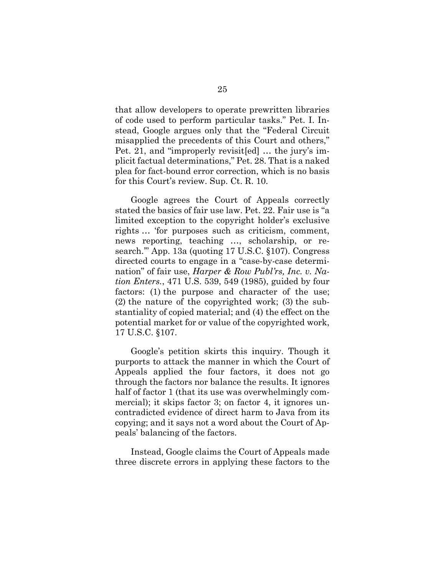that allow developers to operate prewritten libraries of code used to perform particular tasks." Pet. I. Instead, Google argues only that the "Federal Circuit misapplied the precedents of this Court and others," Pet. 21, and "improperly revisit[ed] … the jury's implicit factual determinations," Pet. 28. That is a naked plea for fact-bound error correction, which is no basis for this Court's review. Sup. Ct. R. 10.

Google agrees the Court of Appeals correctly stated the basics of fair use law. Pet. 22. Fair use is "a limited exception to the copyright holder's exclusive rights … 'for purposes such as criticism, comment, news reporting, teaching …, scholarship, or research.'" App. 13a (quoting 17 U.S.C. §107). Congress directed courts to engage in a "case-by-case determination" of fair use, *Harper & Row Publ'rs, Inc. v. Nation Enters.*, 471 U.S. 539, 549 (1985), guided by four factors: (1) the purpose and character of the use; (2) the nature of the copyrighted work; (3) the substantiality of copied material; and (4) the effect on the potential market for or value of the copyrighted work, 17 U.S.C. §107.

Google's petition skirts this inquiry. Though it purports to attack the manner in which the Court of Appeals applied the four factors, it does not go through the factors nor balance the results. It ignores half of factor 1 (that its use was overwhelmingly commercial); it skips factor 3; on factor 4, it ignores uncontradicted evidence of direct harm to Java from its copying; and it says not a word about the Court of Appeals' balancing of the factors.

Instead, Google claims the Court of Appeals made three discrete errors in applying these factors to the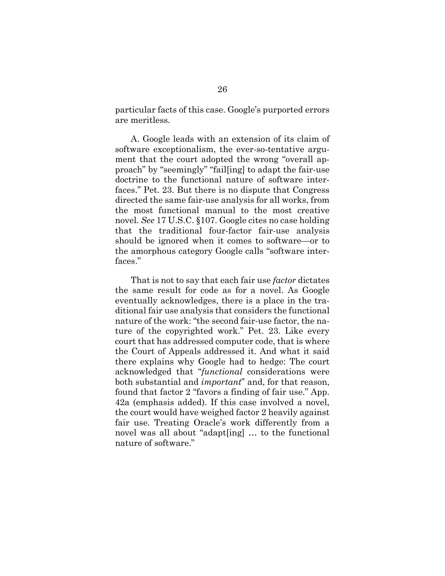particular facts of this case. Google's purported errors are meritless.

A. Google leads with an extension of its claim of software exceptionalism, the ever-so-tentative argument that the court adopted the wrong "overall approach" by "seemingly" "fail[ing] to adapt the fair-use doctrine to the functional nature of software interfaces." Pet. 23. But there is no dispute that Congress directed the same fair-use analysis for all works, from the most functional manual to the most creative novel. *See* 17 U.S.C. §107. Google cites no case holding that the traditional four-factor fair-use analysis should be ignored when it comes to software—or to the amorphous category Google calls "software interfaces."

That is not to say that each fair use *factor* dictates the same result for code as for a novel. As Google eventually acknowledges, there is a place in the traditional fair use analysis that considers the functional nature of the work: "the second fair-use factor, the nature of the copyrighted work." Pet. 23. Like every court that has addressed computer code, that is where the Court of Appeals addressed it. And what it said there explains why Google had to hedge: The court acknowledged that "*functional* considerations were both substantial and *important*" and, for that reason, found that factor 2 "favors a finding of fair use." App. 42a (emphasis added). If this case involved a novel, the court would have weighed factor 2 heavily against fair use. Treating Oracle's work differently from a novel was all about "adapt[ing] … to the functional nature of software."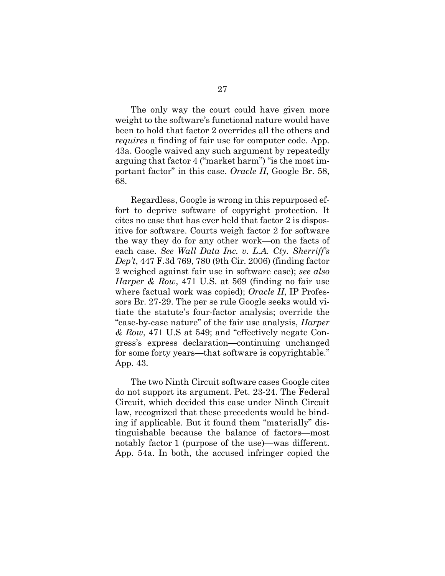The only way the court could have given more weight to the software's functional nature would have been to hold that factor 2 overrides all the others and *requires* a finding of fair use for computer code. App. 43a. Google waived any such argument by repeatedly arguing that factor 4 ("market harm") "is the most important factor" in this case. *Oracle II*, Google Br. 58, 68.

Regardless, Google is wrong in this repurposed effort to deprive software of copyright protection. It cites no case that has ever held that factor 2 is dispositive for software. Courts weigh factor 2 for software the way they do for any other work—on the facts of each case. *See Wall Data Inc. v. L.A. Cty. Sherriff's Dep't*, 447 F.3d 769, 780 (9th Cir. 2006) (finding factor 2 weighed against fair use in software case); *see also Harper & Row*, 471 U.S. at 569 (finding no fair use where factual work was copied); *Oracle II*, IP Professors Br. 27-29. The per se rule Google seeks would vitiate the statute's four-factor analysis; override the "case-by-case nature" of the fair use analysis, *Harper & Row*, 471 U.S at 549; and "effectively negate Congress's express declaration—continuing unchanged for some forty years—that software is copyrightable." App. 43.

The two Ninth Circuit software cases Google cites do not support its argument. Pet. 23-24. The Federal Circuit, which decided this case under Ninth Circuit law, recognized that these precedents would be binding if applicable. But it found them "materially" distinguishable because the balance of factors—most notably factor 1 (purpose of the use)—was different. App. 54a. In both, the accused infringer copied the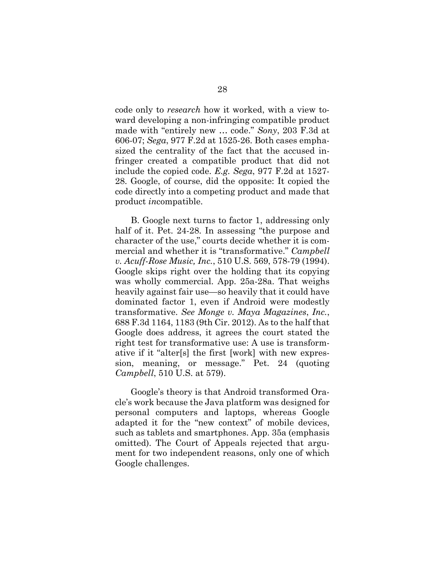code only to *research* how it worked, with a view toward developing a non-infringing compatible product made with "entirely new … code." *Sony*, 203 F.3d at 606-07; *Sega*, 977 F.2d at 1525-26. Both cases emphasized the centrality of the fact that the accused infringer created a compatible product that did not include the copied code. *E.g. Sega*, 977 F.2d at 1527- 28. Google, of course, did the opposite: It copied the code directly into a competing product and made that product *in*compatible.

B. Google next turns to factor 1, addressing only half of it. Pet. 24-28. In assessing "the purpose and character of the use," courts decide whether it is commercial and whether it is "transformative." *Campbell v. Acuff-Rose Music, Inc.*, 510 U.S. 569, 578-79 (1994). Google skips right over the holding that its copying was wholly commercial. App. 25a-28a. That weighs heavily against fair use—so heavily that it could have dominated factor 1, even if Android were modestly transformative. *See Monge v. Maya Magazines*, *Inc.*, 688 F.3d 1164, 1183 (9th Cir. 2012). As to the half that Google does address, it agrees the court stated the right test for transformative use: A use is transformative if it "alter[s] the first [work] with new expression, meaning, or message." Pet. 24 (quoting *Campbell*, 510 U.S. at 579).

Google's theory is that Android transformed Oracle's work because the Java platform was designed for personal computers and laptops, whereas Google adapted it for the "new context" of mobile devices, such as tablets and smartphones. App. 35a (emphasis omitted). The Court of Appeals rejected that argument for two independent reasons, only one of which Google challenges.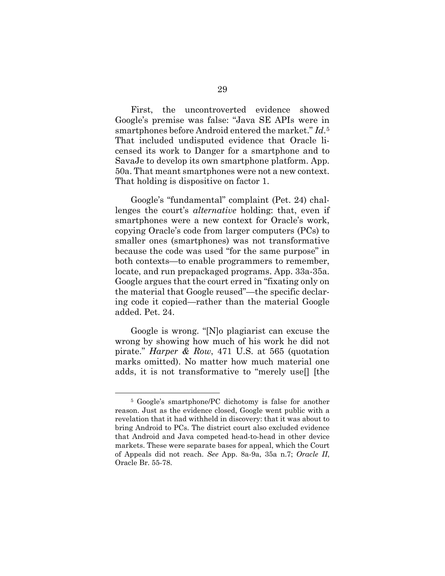First, the uncontroverted evidence showed Google's premise was false: "Java SE APIs were in smartphones before Android entered the market." *Id*.[5](#page-37-0) That included undisputed evidence that Oracle licensed its work to Danger for a smartphone and to SavaJe to develop its own smartphone platform. App. 50a. That meant smartphones were not a new context. That holding is dispositive on factor 1.

Google's "fundamental" complaint (Pet. 24) challenges the court's *alternative* holding: that, even if smartphones were a new context for Oracle's work, copying Oracle's code from larger computers (PCs) to smaller ones (smartphones) was not transformative because the code was used "for the same purpose" in both contexts—to enable programmers to remember, locate, and run prepackaged programs. App. 33a-35a. Google argues that the court erred in "fixating only on the material that Google reused"—the specific declaring code it copied—rather than the material Google added. Pet. 24.

Google is wrong. "[N]o plagiarist can excuse the wrong by showing how much of his work he did not pirate." *Harper & Row*, 471 U.S. at 565 (quotation marks omitted). No matter how much material one adds, it is not transformative to "merely use[] [the

<span id="page-37-0"></span> <sup>5</sup> Google's smartphone/PC dichotomy is false for another reason. Just as the evidence closed, Google went public with a revelation that it had withheld in discovery: that it was about to bring Android to PCs. The district court also excluded evidence that Android and Java competed head-to-head in other device markets. These were separate bases for appeal, which the Court of Appeals did not reach. *See* App. 8a-9a, 35a n.7; *Oracle II*, Oracle Br. 55-78.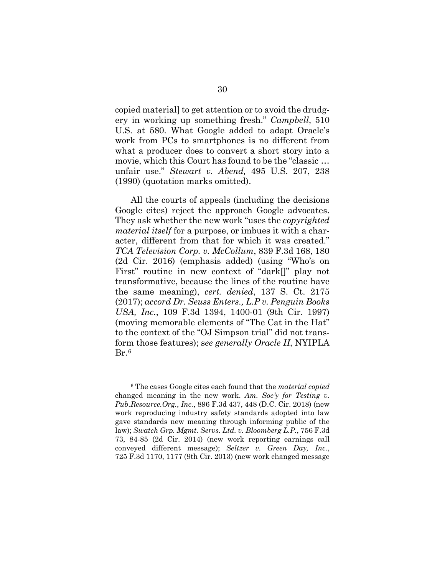copied material] to get attention or to avoid the drudgery in working up something fresh." *Campbell*, 510 U.S. at 580. What Google added to adapt Oracle's work from PCs to smartphones is no different from what a producer does to convert a short story into a movie, which this Court has found to be the "classic … unfair use." *Stewart v. Abend,* 495 U.S. 207, 238 (1990) (quotation marks omitted).

All the courts of appeals (including the decisions Google cites) reject the approach Google advocates. They ask whether the new work "uses the *copyrighted material itself* for a purpose, or imbues it with a character, different from that for which it was created." *TCA Television Corp. v. McCollum*, 839 F.3d 168, 180 (2d Cir. 2016) (emphasis added) (using "Who's on First" routine in new context of "dark[]" play not transformative, because the lines of the routine have the same meaning), *cert. denied*, 137 S. Ct. 2175 (2017); *accord Dr. Seuss Enters., L.P v. Penguin Books USA, Inc.*, 109 F.3d 1394, 1400-01 (9th Cir. 1997) (moving memorable elements of "The Cat in the Hat" to the context of the "OJ Simpson trial" did not transform those features); s*ee generally Oracle II*, NYIPLA Br.[6](#page-38-0) 

<span id="page-38-0"></span> <sup>6</sup> The cases Google cites each found that the *material copied* changed meaning in the new work. *Am. Soc'y for Testing v. Pub.Resource.Org.*, *Inc.*, 896 F.3d 437, 448 (D.C. Cir. 2018) (new work reproducing industry safety standards adopted into law gave standards new meaning through informing public of the law); *Swatch Grp. Mgmt. Servs. Ltd. v. Bloomberg L.P.*, 756 F.3d 73, 84-85 (2d Cir. 2014) (new work reporting earnings call conveyed different message); *Seltzer v. Green Day, Inc.*, 725 F.3d 1170, 1177 (9th Cir. 2013) (new work changed message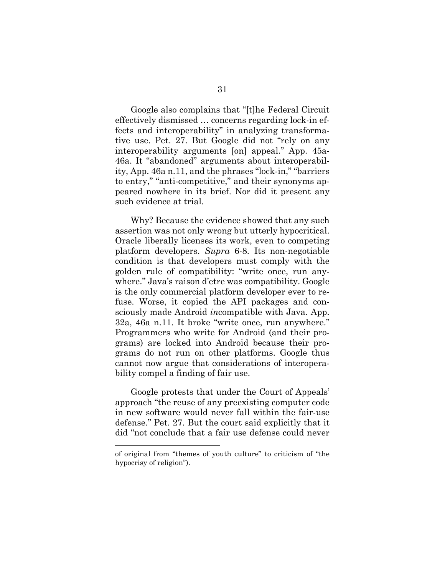Google also complains that "[t]he Federal Circuit effectively dismissed … concerns regarding lock-in effects and interoperability" in analyzing transformative use. Pet. 27. But Google did not "rely on any interoperability arguments [on] appeal." App. 45a-46a. It "abandoned" arguments about interoperability, App. 46a n.11, and the phrases "lock-in," "barriers to entry," "anti-competitive," and their synonyms appeared nowhere in its brief. Nor did it present any such evidence at trial.

Why? Because the evidence showed that any such assertion was not only wrong but utterly hypocritical. Oracle liberally licenses its work, even to competing platform developers. *Supra* 6-8. Its non-negotiable condition is that developers must comply with the golden rule of compatibility: "write once, run anywhere." Java's raison d'etre was compatibility. Google is the only commercial platform developer ever to refuse. Worse, it copied the API packages and consciously made Android *in*compatible with Java. App. 32a, 46a n.11. It broke "write once, run anywhere." Programmers who write for Android (and their programs) are locked into Android because their programs do not run on other platforms. Google thus cannot now argue that considerations of interoperability compel a finding of fair use.

Google protests that under the Court of Appeals' approach "the reuse of any preexisting computer code in new software would never fall within the fair-use defense." Pet. 27. But the court said explicitly that it did "not conclude that a fair use defense could never

 $\overline{a}$ 

of original from "themes of youth culture" to criticism of "the hypocrisy of religion").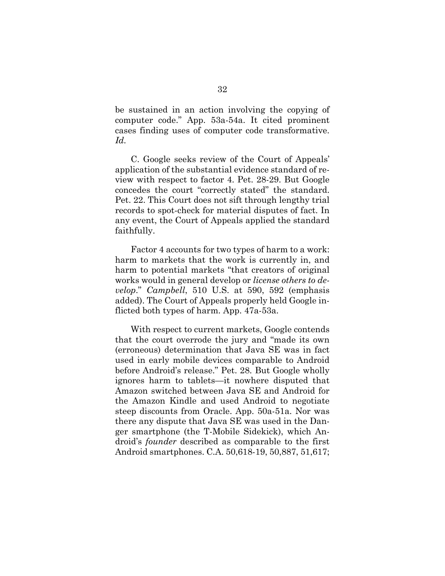be sustained in an action involving the copying of computer code." App. 53a-54a. It cited prominent cases finding uses of computer code transformative. *Id.*

C. Google seeks review of the Court of Appeals' application of the substantial evidence standard of review with respect to factor 4. Pet. 28-29. But Google concedes the court "correctly stated" the standard. Pet. 22. This Court does not sift through lengthy trial records to spot-check for material disputes of fact. In any event, the Court of Appeals applied the standard faithfully.

Factor 4 accounts for two types of harm to a work: harm to markets that the work is currently in, and harm to potential markets "that creators of original works would in general develop or *license others to develop*." *Campbell*, 510 U.S. at 590, 592 (emphasis added). The Court of Appeals properly held Google inflicted both types of harm. App. 47a-53a.

With respect to current markets, Google contends that the court overrode the jury and "made its own (erroneous) determination that Java SE was in fact used in early mobile devices comparable to Android before Android's release." Pet. 28. But Google wholly ignores harm to tablets—it nowhere disputed that Amazon switched between Java SE and Android for the Amazon Kindle and used Android to negotiate steep discounts from Oracle. App. 50a-51a. Nor was there any dispute that Java SE was used in the Danger smartphone (the T-Mobile Sidekick), which Android's *founder* described as comparable to the first Android smartphones. C.A. 50,618-19, 50,887, 51,617;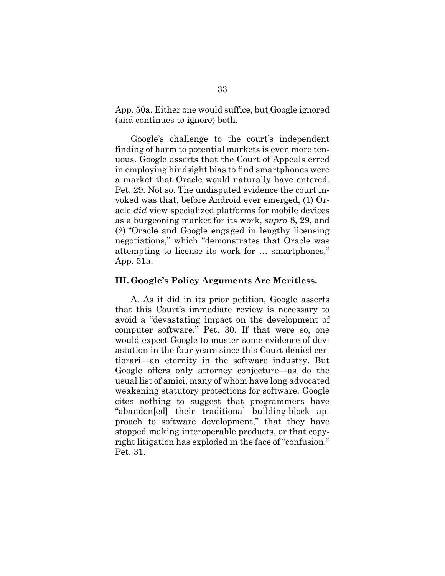App. 50a. Either one would suffice, but Google ignored (and continues to ignore) both.

Google's challenge to the court's independent finding of harm to potential markets is even more tenuous. Google asserts that the Court of Appeals erred in employing hindsight bias to find smartphones were a market that Oracle would naturally have entered. Pet. 29. Not so. The undisputed evidence the court invoked was that, before Android ever emerged, (1) Oracle *did* view specialized platforms for mobile devices as a burgeoning market for its work, *supra* 8, 29, and (2) "Oracle and Google engaged in lengthy licensing negotiations," which "demonstrates that Oracle was attempting to license its work for … smartphones," App. 51a.

#### <span id="page-41-0"></span>**III. Google's Policy Arguments Are Meritless.**

A. As it did in its prior petition, Google asserts that this Court's immediate review is necessary to avoid a "devastating impact on the development of computer software." Pet. 30. If that were so, one would expect Google to muster some evidence of devastation in the four years since this Court denied certiorari—an eternity in the software industry. But Google offers only attorney conjecture—as do the usual list of amici, many of whom have long advocated weakening statutory protections for software. Google cites nothing to suggest that programmers have "abandon[ed] their traditional building-block approach to software development," that they have stopped making interoperable products, or that copyright litigation has exploded in the face of "confusion." Pet. 31.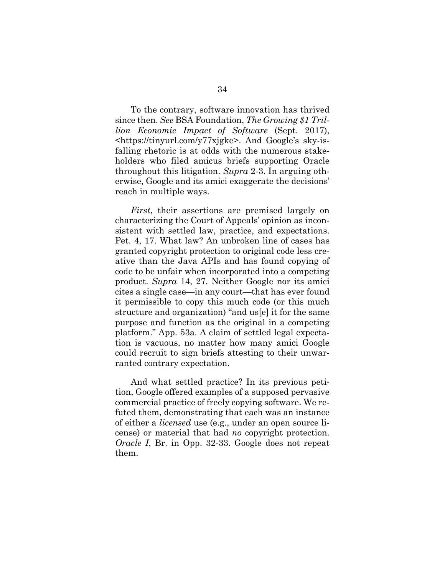To the contrary, software innovation has thrived since then. *See* BSA Foundation, *The Growing \$1 Trillion Economic Impact of Software* (Sept. 2017), <https://tinyurl.com/y77xjgke>. And Google's sky-isfalling rhetoric is at odds with the numerous stakeholders who filed amicus briefs supporting Oracle throughout this litigation. *Supra* 2-3. In arguing otherwise, Google and its amici exaggerate the decisions' reach in multiple ways.

*First*, their assertions are premised largely on characterizing the Court of Appeals' opinion as inconsistent with settled law, practice, and expectations. Pet. 4, 17. What law? An unbroken line of cases has granted copyright protection to original code less creative than the Java APIs and has found copying of code to be unfair when incorporated into a competing product. *Supra* 14, 27. Neither Google nor its amici cites a single case—in any court—that has ever found it permissible to copy this much code (or this much structure and organization) "and us[e] it for the same purpose and function as the original in a competing platform." App. 53a. A claim of settled legal expectation is vacuous, no matter how many amici Google could recruit to sign briefs attesting to their unwarranted contrary expectation.

And what settled practice? In its previous petition, Google offered examples of a supposed pervasive commercial practice of freely copying software. We refuted them, demonstrating that each was an instance of either a *licensed* use (e.g., under an open source license) or material that had *no* copyright protection. *Oracle I*, Br. in Opp. 32-33. Google does not repeat them.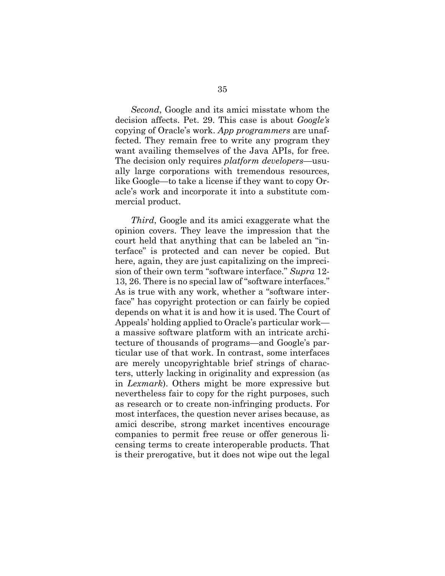*Second*, Google and its amici misstate whom the decision affects. Pet. 29. This case is about *Google's* copying of Oracle's work. *App programmers* are unaffected. They remain free to write any program they want availing themselves of the Java APIs, for free. The decision only requires *platform developers*—usually large corporations with tremendous resources, like Google—to take a license if they want to copy Oracle's work and incorporate it into a substitute commercial product.

*Third*, Google and its amici exaggerate what the opinion covers. They leave the impression that the court held that anything that can be labeled an "interface" is protected and can never be copied. But here, again, they are just capitalizing on the imprecision of their own term "software interface." *Supra* 12- 13, 26. There is no special law of "software interfaces." As is true with any work, whether a "software interface" has copyright protection or can fairly be copied depends on what it is and how it is used. The Court of Appeals' holding applied to Oracle's particular work a massive software platform with an intricate architecture of thousands of programs—and Google's particular use of that work. In contrast, some interfaces are merely uncopyrightable brief strings of characters, utterly lacking in originality and expression (as in *Lexmark*). Others might be more expressive but nevertheless fair to copy for the right purposes, such as research or to create non-infringing products. For most interfaces, the question never arises because, as amici describe, strong market incentives encourage companies to permit free reuse or offer generous licensing terms to create interoperable products. That is their prerogative, but it does not wipe out the legal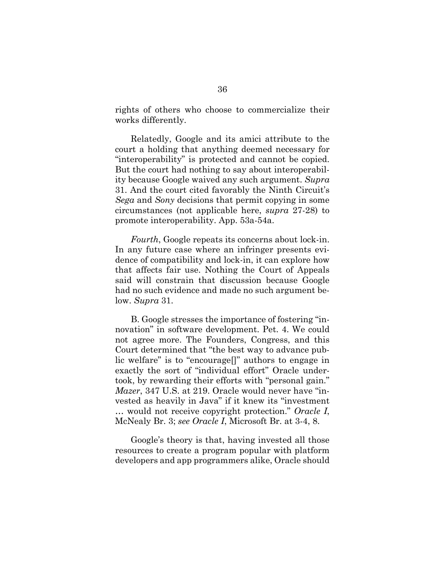rights of others who choose to commercialize their works differently.

Relatedly, Google and its amici attribute to the court a holding that anything deemed necessary for "interoperability" is protected and cannot be copied. But the court had nothing to say about interoperability because Google waived any such argument. *Supra* 31. And the court cited favorably the Ninth Circuit's *Sega* and *Sony* decisions that permit copying in some circumstances (not applicable here, *supra* 27-28) to promote interoperability. App. 53a-54a.

*Fourth*, Google repeats its concerns about lock-in. In any future case where an infringer presents evidence of compatibility and lock-in, it can explore how that affects fair use. Nothing the Court of Appeals said will constrain that discussion because Google had no such evidence and made no such argument below. *Supra* 31.

B. Google stresses the importance of fostering "innovation" in software development. Pet. 4. We could not agree more. The Founders, Congress, and this Court determined that "the best way to advance public welfare" is to "encourage[]" authors to engage in exactly the sort of "individual effort" Oracle undertook, by rewarding their efforts with "personal gain." *Mazer*, 347 U.S. at 219. Oracle would never have "invested as heavily in Java" if it knew its "investment … would not receive copyright protection." *Oracle I*, McNealy Br. 3; *see Oracle I*, Microsoft Br. at 3-4, 8.

Google's theory is that, having invested all those resources to create a program popular with platform developers and app programmers alike, Oracle should